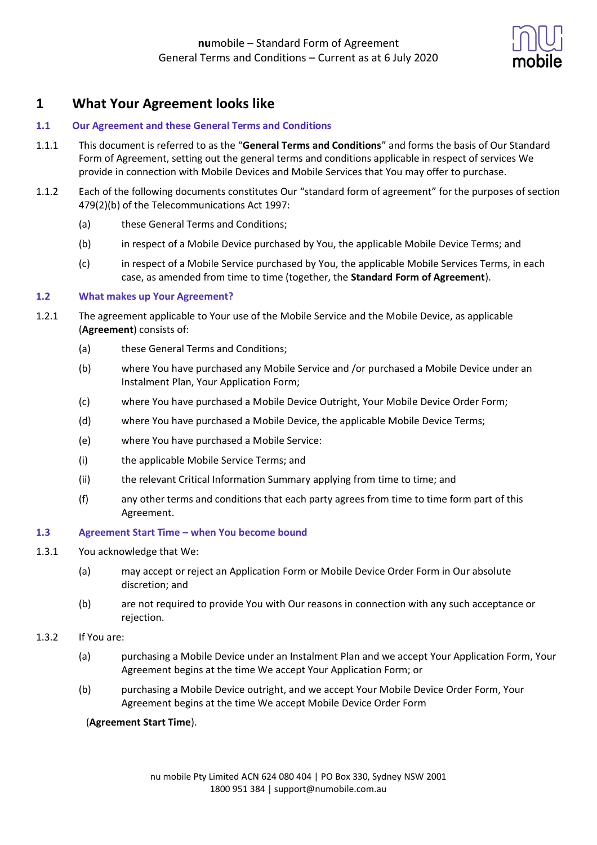

# **1 What Your Agreement looks like**

## **1.1 Our Agreement and these General Terms and Conditions**

- 1.1.1 This document is referred to as the "**General Terms and Conditions**" and forms the basis of Our Standard Form of Agreement, setting out the general terms and conditions applicable in respect of services We provide in connection with Mobile Devices and Mobile Services that You may offer to purchase.
- 1.1.2 Each of the following documents constitutes Our "standard form of agreement" for the purposes of section 479(2)(b) of the Telecommunications Act 1997:
	- (a) these General Terms and Conditions;
	- (b) in respect of a Mobile Device purchased by You, the applicable Mobile Device Terms; and
	- (c) in respect of a Mobile Service purchased by You, the applicable Mobile Services Terms, in each case, as amended from time to time (together, the **Standard Form of Agreement**).

### **1.2 What makes up Your Agreement?**

- 1.2.1 The agreement applicable to Your use of the Mobile Service and the Mobile Device, as applicable (**Agreement**) consists of:
	- (a) these General Terms and Conditions;
	- (b) where You have purchased any Mobile Service and /or purchased a Mobile Device under an Instalment Plan, Your Application Form;
	- (c) where You have purchased a Mobile Device Outright, Your Mobile Device Order Form;
	- (d) where You have purchased a Mobile Device, the applicable Mobile Device Terms;
	- (e) where You have purchased a Mobile Service:
	- (i) the applicable Mobile Service Terms; and
	- (ii) the relevant Critical Information Summary applying from time to time; and
	- (f) any other terms and conditions that each party agrees from time to time form part of this Agreement.

### **1.3 Agreement Start Time – when You become bound**

- 1.3.1 You acknowledge that We:
	- (a) may accept or reject an Application Form or Mobile Device Order Form in Our absolute discretion; and
	- (b) are not required to provide You with Our reasons in connection with any such acceptance or rejection.
- 1.3.2 If You are:
	- (a) purchasing a Mobile Device under an Instalment Plan and we accept Your Application Form, Your Agreement begins at the time We accept Your Application Form; or
	- (b) purchasing a Mobile Device outright, and we accept Your Mobile Device Order Form, Your Agreement begins at the time We accept Mobile Device Order Form

### (**Agreement Start Time**).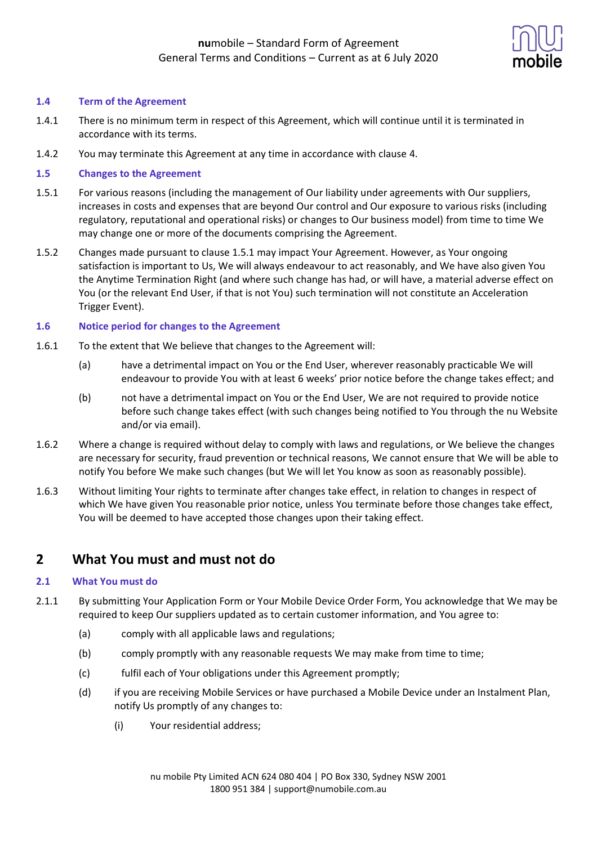

## **1.4 Term of the Agreement**

- 1.4.1 There is no minimum term in respect of this Agreement, which will continue until it is terminated in accordance with its terms.
- 1.4.2 You may terminate this Agreement at any time in accordance with clause 4.

## **1.5 Changes to the Agreement**

- 1.5.1 For various reasons (including the management of Our liability under agreements with Our suppliers, increases in costs and expenses that are beyond Our control and Our exposure to various risks (including regulatory, reputational and operational risks) or changes to Our business model) from time to time We may change one or more of the documents comprising the Agreement.
- 1.5.2 Changes made pursuant to clause 1.5.1 may impact Your Agreement. However, as Your ongoing satisfaction is important to Us, We will always endeavour to act reasonably, and We have also given You the Anytime Termination Right (and where such change has had, or will have, a material adverse effect on You (or the relevant End User, if that is not You) such termination will not constitute an Acceleration Trigger Event).

### **1.6 Notice period for changes to the Agreement**

- 1.6.1 To the extent that We believe that changes to the Agreement will:
	- (a) have a detrimental impact on You or the End User, wherever reasonably practicable We will endeavour to provide You with at least 6 weeks' prior notice before the change takes effect; and
	- (b) not have a detrimental impact on You or the End User, We are not required to provide notice before such change takes effect (with such changes being notified to You through the nu Website and/or via email).
- 1.6.2 Where a change is required without delay to comply with laws and regulations, or We believe the changes are necessary for security, fraud prevention or technical reasons, We cannot ensure that We will be able to notify You before We make such changes (but We will let You know as soon as reasonably possible).
- 1.6.3 Without limiting Your rights to terminate after changes take effect, in relation to changes in respect of which We have given You reasonable prior notice, unless You terminate before those changes take effect, You will be deemed to have accepted those changes upon their taking effect.

## **2 What You must and must not do**

### **2.1 What You must do**

- 2.1.1 By submitting Your Application Form or Your Mobile Device Order Form, You acknowledge that We may be required to keep Our suppliers updated as to certain customer information, and You agree to:
	- (a) comply with all applicable laws and regulations;
	- (b) comply promptly with any reasonable requests We may make from time to time;
	- (c) fulfil each of Your obligations under this Agreement promptly;
	- (d) if you are receiving Mobile Services or have purchased a Mobile Device under an Instalment Plan, notify Us promptly of any changes to:
		- (i) Your residential address;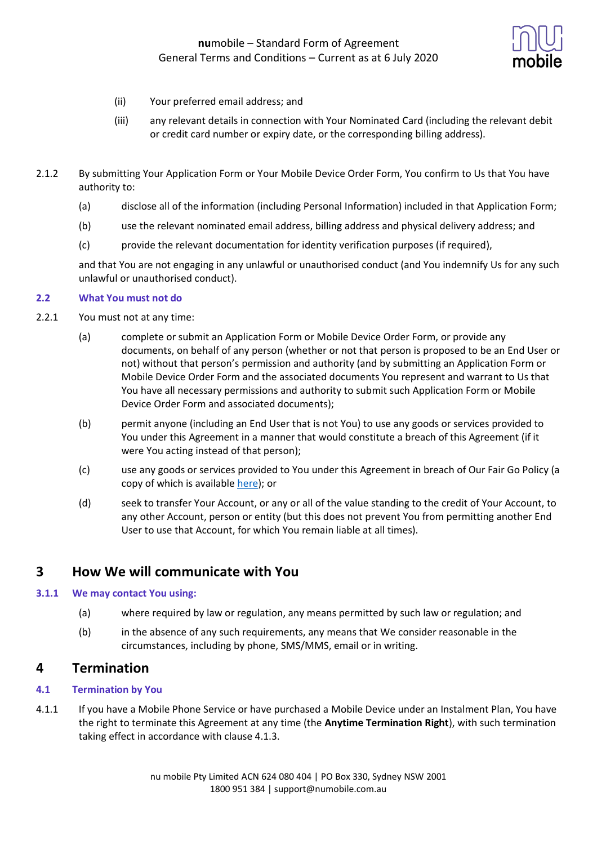

- (ii) Your preferred email address; and
- (iii) any relevant details in connection with Your Nominated Card (including the relevant debit or credit card number or expiry date, or the corresponding billing address).
- 2.1.2 By submitting Your Application Form or Your Mobile Device Order Form, You confirm to Us that You have authority to:
	- (a) disclose all of the information (including Personal Information) included in that Application Form;
	- (b) use the relevant nominated email address, billing address and physical delivery address; and
	- (c) provide the relevant documentation for identity verification purposes (if required),

and that You are not engaging in any unlawful or unauthorised conduct (and You indemnify Us for any such unlawful or unauthorised conduct).

### **2.2 What You must not do**

- 2.2.1 You must not at any time:
	- (a) complete or submit an Application Form or Mobile Device Order Form, or provide any documents, on behalf of any person (whether or not that person is proposed to be an End User or not) without that person's permission and authority (and by submitting an Application Form or Mobile Device Order Form and the associated documents You represent and warrant to Us that You have all necessary permissions and authority to submit such Application Form or Mobile Device Order Form and associated documents);
	- (b) permit anyone (including an End User that is not You) to use any goods or services provided to You under this Agreement in a manner that would constitute a breach of this Agreement (if it were You acting instead of that person);
	- (c) use any goods or services provided to You under this Agreement in breach of Our Fair Go Policy (a copy of which is available [here\)](https://www.numobile.com.au/legal-stuff); or
	- (d) seek to transfer Your Account, or any or all of the value standing to the credit of Your Account, to any other Account, person or entity (but this does not prevent You from permitting another End User to use that Account, for which You remain liable at all times).

# **3 How We will communicate with You**

## **3.1.1 We may contact You using:**

- (a) where required by law or regulation, any means permitted by such law or regulation; and
- (b) in the absence of any such requirements, any means that We consider reasonable in the circumstances, including by phone, SMS/MMS, email or in writing.

## **4 Termination**

## **4.1 Termination by You**

4.1.1 If you have a Mobile Phone Service or have purchased a Mobile Device under an Instalment Plan, You have the right to terminate this Agreement at any time (the **Anytime Termination Right**), with such termination taking effect in accordance with clause 4.1.3.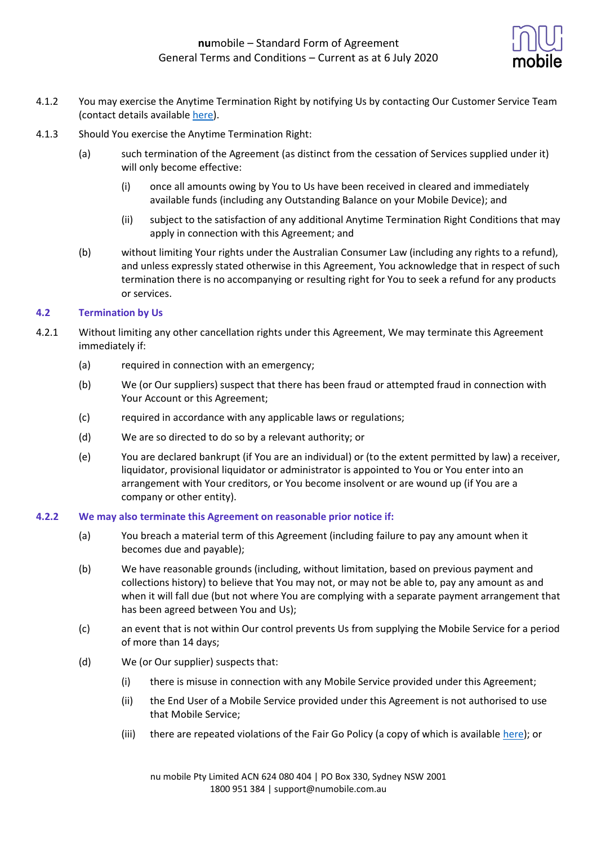

- 4.1.2 You may exercise the Anytime Termination Right by notifying Us by contacting Our Customer Service Team (contact details available [here\)](https://help.numobile.com.au/hc/en-us).
- 4.1.3 Should You exercise the Anytime Termination Right:
	- (a) such termination of the Agreement (as distinct from the cessation of Services supplied under it) will only become effective:
		- (i) once all amounts owing by You to Us have been received in cleared and immediately available funds (including any Outstanding Balance on your Mobile Device); and
		- (ii) subject to the satisfaction of any additional Anytime Termination Right Conditions that may apply in connection with this Agreement; and
	- (b) without limiting Your rights under the Australian Consumer Law (including any rights to a refund), and unless expressly stated otherwise in this Agreement, You acknowledge that in respect of such termination there is no accompanying or resulting right for You to seek a refund for any products or services.

## **4.2 Termination by Us**

- 4.2.1 Without limiting any other cancellation rights under this Agreement, We may terminate this Agreement immediately if:
	- (a) required in connection with an emergency;
	- (b) We (or Our suppliers) suspect that there has been fraud or attempted fraud in connection with Your Account or this Agreement;
	- (c) required in accordance with any applicable laws or regulations;
	- (d) We are so directed to do so by a relevant authority; or
	- (e) You are declared bankrupt (if You are an individual) or (to the extent permitted by law) a receiver, liquidator, provisional liquidator or administrator is appointed to You or You enter into an arrangement with Your creditors, or You become insolvent or are wound up (if You are a company or other entity).

### **4.2.2 We may also terminate this Agreement on reasonable prior notice if:**

- (a) You breach a material term of this Agreement (including failure to pay any amount when it becomes due and payable);
- (b) We have reasonable grounds (including, without limitation, based on previous payment and collections history) to believe that You may not, or may not be able to, pay any amount as and when it will fall due (but not where You are complying with a separate payment arrangement that has been agreed between You and Us);
- (c) an event that is not within Our control prevents Us from supplying the Mobile Service for a period of more than 14 days;
- (d) We (or Our supplier) suspects that:
	- (i) there is misuse in connection with any Mobile Service provided under this Agreement;
	- (ii) the End User of a Mobile Service provided under this Agreement is not authorised to use that Mobile Service;
	- (iii) there are repeated violations of the Fair Go Policy (a copy of which is available [here\)](https://www.numobile.com.au/legal-stuff); or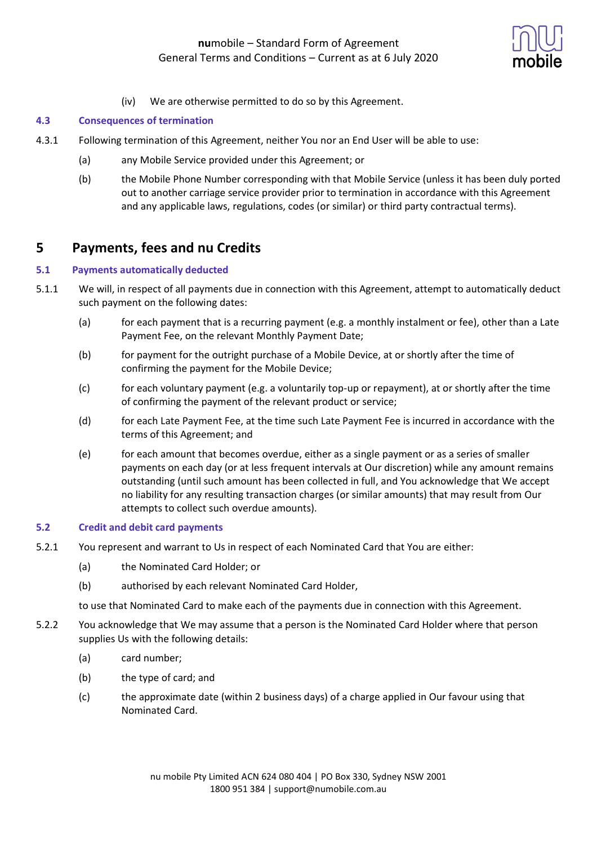

(iv) We are otherwise permitted to do so by this Agreement.

## **4.3 Consequences of termination**

- 4.3.1 Following termination of this Agreement, neither You nor an End User will be able to use:
	- (a) any Mobile Service provided under this Agreement; or
	- (b) the Mobile Phone Number corresponding with that Mobile Service (unless it has been duly ported out to another carriage service provider prior to termination in accordance with this Agreement and any applicable laws, regulations, codes (or similar) or third party contractual terms).

# **5 Payments, fees and nu Credits**

### **5.1 Payments automatically deducted**

- 5.1.1 We will, in respect of all payments due in connection with this Agreement, attempt to automatically deduct such payment on the following dates:
	- (a) for each payment that is a recurring payment (e.g. a monthly instalment or fee), other than a Late Payment Fee, on the relevant Monthly Payment Date;
	- (b) for payment for the outright purchase of a Mobile Device, at or shortly after the time of confirming the payment for the Mobile Device;
	- (c) for each voluntary payment (e.g. a voluntarily top-up or repayment), at or shortly after the time of confirming the payment of the relevant product or service;
	- (d) for each Late Payment Fee, at the time such Late Payment Fee is incurred in accordance with the terms of this Agreement; and
	- (e) for each amount that becomes overdue, either as a single payment or as a series of smaller payments on each day (or at less frequent intervals at Our discretion) while any amount remains outstanding (until such amount has been collected in full, and You acknowledge that We accept no liability for any resulting transaction charges (or similar amounts) that may result from Our attempts to collect such overdue amounts).

## **5.2 Credit and debit card payments**

- 5.2.1 You represent and warrant to Us in respect of each Nominated Card that You are either:
	- (a) the Nominated Card Holder; or
	- (b) authorised by each relevant Nominated Card Holder,

to use that Nominated Card to make each of the payments due in connection with this Agreement.

- 5.2.2 You acknowledge that We may assume that a person is the Nominated Card Holder where that person supplies Us with the following details:
	- (a) card number;
	- (b) the type of card; and
	- (c) the approximate date (within 2 business days) of a charge applied in Our favour using that Nominated Card.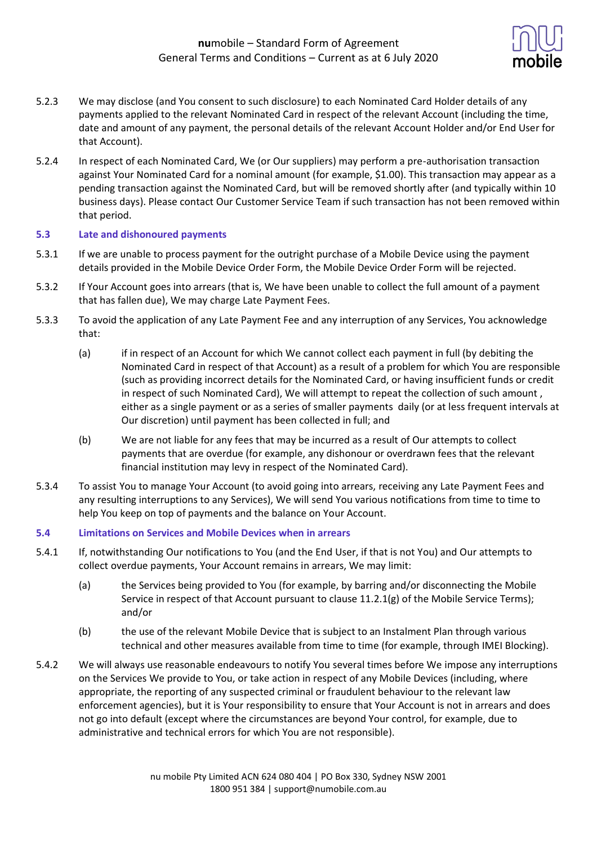

- 5.2.3 We may disclose (and You consent to such disclosure) to each Nominated Card Holder details of any payments applied to the relevant Nominated Card in respect of the relevant Account (including the time, date and amount of any payment, the personal details of the relevant Account Holder and/or End User for that Account).
- 5.2.4 In respect of each Nominated Card, We (or Our suppliers) may perform a pre-authorisation transaction against Your Nominated Card for a nominal amount (for example, \$1.00). This transaction may appear as a pending transaction against the Nominated Card, but will be removed shortly after (and typically within 10 business days). Please contact Our Customer Service Team if such transaction has not been removed within that period.

## **5.3 Late and dishonoured payments**

- 5.3.1 If we are unable to process payment for the outright purchase of a Mobile Device using the payment details provided in the Mobile Device Order Form, the Mobile Device Order Form will be rejected.
- 5.3.2 If Your Account goes into arrears (that is, We have been unable to collect the full amount of a payment that has fallen due), We may charge Late Payment Fees.
- 5.3.3 To avoid the application of any Late Payment Fee and any interruption of any Services, You acknowledge that:
	- (a) if in respect of an Account for which We cannot collect each payment in full (by debiting the Nominated Card in respect of that Account) as a result of a problem for which You are responsible (such as providing incorrect details for the Nominated Card, or having insufficient funds or credit in respect of such Nominated Card), We will attempt to repeat the collection of such amount , either as a single payment or as a series of smaller payments daily (or at less frequent intervals at Our discretion) until payment has been collected in full; and
	- (b) We are not liable for any fees that may be incurred as a result of Our attempts to collect payments that are overdue (for example, any dishonour or overdrawn fees that the relevant financial institution may levy in respect of the Nominated Card).
- 5.3.4 To assist You to manage Your Account (to avoid going into arrears, receiving any Late Payment Fees and any resulting interruptions to any Services), We will send You various notifications from time to time to help You keep on top of payments and the balance on Your Account.

### **5.4 Limitations on Services and Mobile Devices when in arrears**

- 5.4.1 If, notwithstanding Our notifications to You (and the End User, if that is not You) and Our attempts to collect overdue payments, Your Account remains in arrears, We may limit:
	- (a) the Services being provided to You (for example, by barring and/or disconnecting the Mobile Service in respect of that Account pursuant to clause 11.2.1(g) of the Mobile Service Terms); and/or
	- (b) the use of the relevant Mobile Device that is subject to an Instalment Plan through various technical and other measures available from time to time (for example, through IMEI Blocking).
- 5.4.2 We will always use reasonable endeavours to notify You several times before We impose any interruptions on the Services We provide to You, or take action in respect of any Mobile Devices (including, where appropriate, the reporting of any suspected criminal or fraudulent behaviour to the relevant law enforcement agencies), but it is Your responsibility to ensure that Your Account is not in arrears and does not go into default (except where the circumstances are beyond Your control, for example, due to administrative and technical errors for which You are not responsible).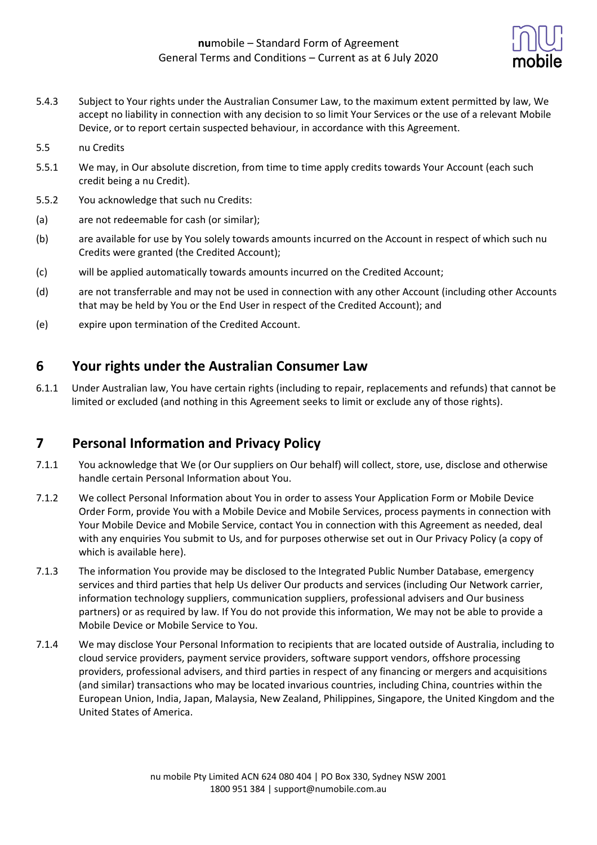

- 5.4.3 Subject to Your rights under the Australian Consumer Law, to the maximum extent permitted by law, We accept no liability in connection with any decision to so limit Your Services or the use of a relevant Mobile Device, or to report certain suspected behaviour, in accordance with this Agreement.
- 5.5 nu Credits
- 5.5.1 We may, in Our absolute discretion, from time to time apply credits towards Your Account (each such credit being a nu Credit).
- 5.5.2 You acknowledge that such nu Credits:
- (a) are not redeemable for cash (or similar);
- (b) are available for use by You solely towards amounts incurred on the Account in respect of which such nu Credits were granted (the Credited Account);
- (c) will be applied automatically towards amounts incurred on the Credited Account;
- (d) are not transferrable and may not be used in connection with any other Account (including other Accounts that may be held by You or the End User in respect of the Credited Account); and
- (e) expire upon termination of the Credited Account.

## **6 Your rights under the Australian Consumer Law**

6.1.1 Under Australian law, You have certain rights (including to repair, replacements and refunds) that cannot be limited or excluded (and nothing in this Agreement seeks to limit or exclude any of those rights).

# **7 Personal Information and Privacy Policy**

- 7.1.1 You acknowledge that We (or Our suppliers on Our behalf) will collect, store, use, disclose and otherwise handle certain Personal Information about You.
- 7.1.2 We collect Personal Information about You in order to assess Your Application Form or Mobile Device Order Form, provide You with a Mobile Device and Mobile Services, process payments in connection with Your Mobile Device and Mobile Service, contact You in connection with this Agreement as needed, deal with any enquiries You submit to Us, and for purposes otherwise set out in Our Privacy Policy (a copy of which is available here).
- 7.1.3 The information You provide may be disclosed to the Integrated Public Number Database, emergency services and third parties that help Us deliver Our products and services (including Our Network carrier, information technology suppliers, communication suppliers, professional advisers and Our business partners) or as required by law. If You do not provide this information, We may not be able to provide a Mobile Device or Mobile Service to You.
- 7.1.4 We may disclose Your Personal Information to recipients that are located outside of Australia, including to cloud service providers, payment service providers, software support vendors, offshore processing providers, professional advisers, and third parties in respect of any financing or mergers and acquisitions (and similar) transactions who may be located invarious countries, including China, countries within the European Union, India, Japan, Malaysia, New Zealand, Philippines, Singapore, the United Kingdom and the United States of America.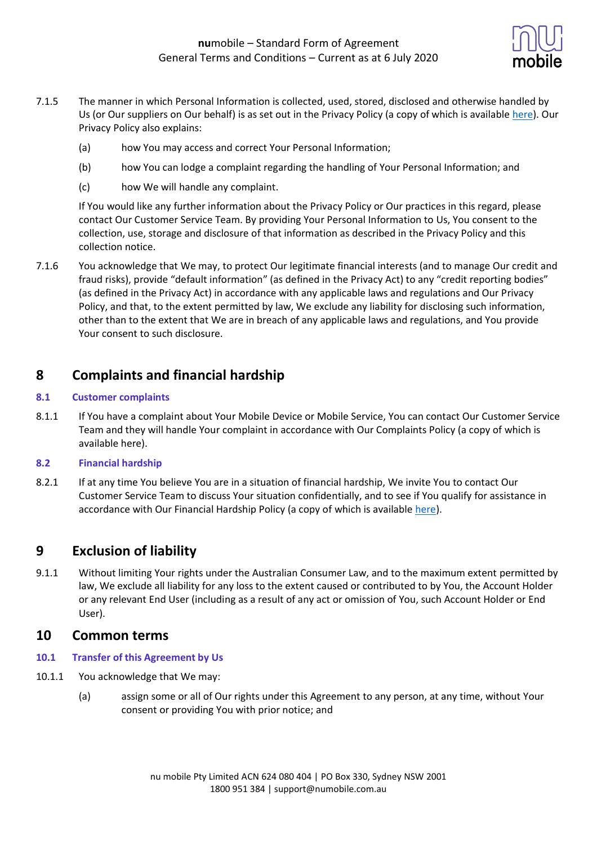

- 7.1.5 The manner in which Personal Information is collected, used, stored, disclosed and otherwise handled by Us (or Our suppliers on Our behalf) is as set out in the Privacy Policy (a copy of which is availabl[e here\)](https://www.numobile.com.au/legal-stuff). Our Privacy Policy also explains:
	- (a) how You may access and correct Your Personal Information;
	- (b) how You can lodge a complaint regarding the handling of Your Personal Information; and
	- (c) how We will handle any complaint.

If You would like any further information about the Privacy Policy or Our practices in this regard, please contact Our Customer Service Team. By providing Your Personal Information to Us, You consent to the collection, use, storage and disclosure of that information as described in the Privacy Policy and this collection notice.

7.1.6 You acknowledge that We may, to protect Our legitimate financial interests (and to manage Our credit and fraud risks), provide "default information" (as defined in the Privacy Act) to any "credit reporting bodies" (as defined in the Privacy Act) in accordance with any applicable laws and regulations and Our Privacy Policy, and that, to the extent permitted by law, We exclude any liability for disclosing such information, other than to the extent that We are in breach of any applicable laws and regulations, and You provide Your consent to such disclosure.

# **8 Complaints and financial hardship**

## **8.1 Customer complaints**

8.1.1 If You have a complaint about Your Mobile Device or Mobile Service, You can contact Our Customer Service Team and they will handle Your complaint in accordance with Our Complaints Policy (a copy of which is available here).

## **8.2 Financial hardship**

8.2.1 If at any time You believe You are in a situation of financial hardship, We invite You to contact Our Customer Service Team to discuss Your situation confidentially, and to see if You qualify for assistance in accordance with Our Financial Hardship Policy (a copy of which is available [here\)](https://www.numobile.com.au/legal-stuff).

# **9 Exclusion of liability**

9.1.1 Without limiting Your rights under the Australian Consumer Law, and to the maximum extent permitted by law, We exclude all liability for any loss to the extent caused or contributed to by You, the Account Holder or any relevant End User (including as a result of any act or omission of You, such Account Holder or End User).

## **10 Common terms**

- **10.1 Transfer of this Agreement by Us**
- 10.1.1 You acknowledge that We may:
	- (a) assign some or all of Our rights under this Agreement to any person, at any time, without Your consent or providing You with prior notice; and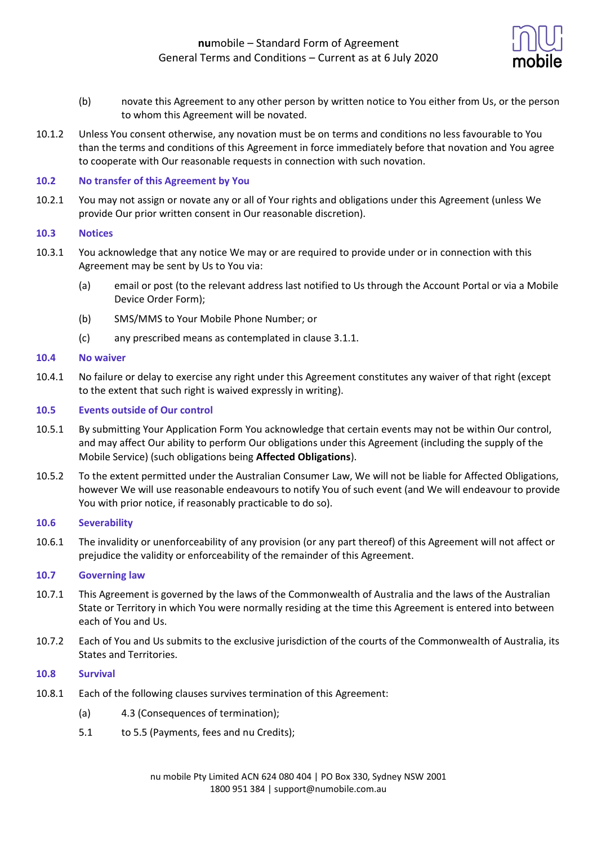

- (b) novate this Agreement to any other person by written notice to You either from Us, or the person to whom this Agreement will be novated.
- 10.1.2 Unless You consent otherwise, any novation must be on terms and conditions no less favourable to You than the terms and conditions of this Agreement in force immediately before that novation and You agree to cooperate with Our reasonable requests in connection with such novation.

#### **10.2 No transfer of this Agreement by You**

10.2.1 You may not assign or novate any or all of Your rights and obligations under this Agreement (unless We provide Our prior written consent in Our reasonable discretion).

#### **10.3 Notices**

- 10.3.1 You acknowledge that any notice We may or are required to provide under or in connection with this Agreement may be sent by Us to You via:
	- (a) email or post (to the relevant address last notified to Us through the Account Portal or via a Mobile Device Order Form);
	- (b) SMS/MMS to Your Mobile Phone Number; or
	- (c) any prescribed means as contemplated in clause 3.1.1.

#### **10.4 No waiver**

10.4.1 No failure or delay to exercise any right under this Agreement constitutes any waiver of that right (except to the extent that such right is waived expressly in writing).

## **10.5 Events outside of Our control**

- 10.5.1 By submitting Your Application Form You acknowledge that certain events may not be within Our control, and may affect Our ability to perform Our obligations under this Agreement (including the supply of the Mobile Service) (such obligations being **Affected Obligations**).
- 10.5.2 To the extent permitted under the Australian Consumer Law, We will not be liable for Affected Obligations, however We will use reasonable endeavours to notify You of such event (and We will endeavour to provide You with prior notice, if reasonably practicable to do so).

#### **10.6 Severability**

10.6.1 The invalidity or unenforceability of any provision (or any part thereof) of this Agreement will not affect or prejudice the validity or enforceability of the remainder of this Agreement.

### **10.7 Governing law**

- 10.7.1 This Agreement is governed by the laws of the Commonwealth of Australia and the laws of the Australian State or Territory in which You were normally residing at the time this Agreement is entered into between each of You and Us.
- 10.7.2 Each of You and Us submits to the exclusive jurisdiction of the courts of the Commonwealth of Australia, its States and Territories.

#### **10.8 Survival**

- 10.8.1 Each of the following clauses survives termination of this Agreement:
	- (a) 4.3 (Consequences of termination);
	- 5.1 to 5.5 (Payments, fees and nu Credits);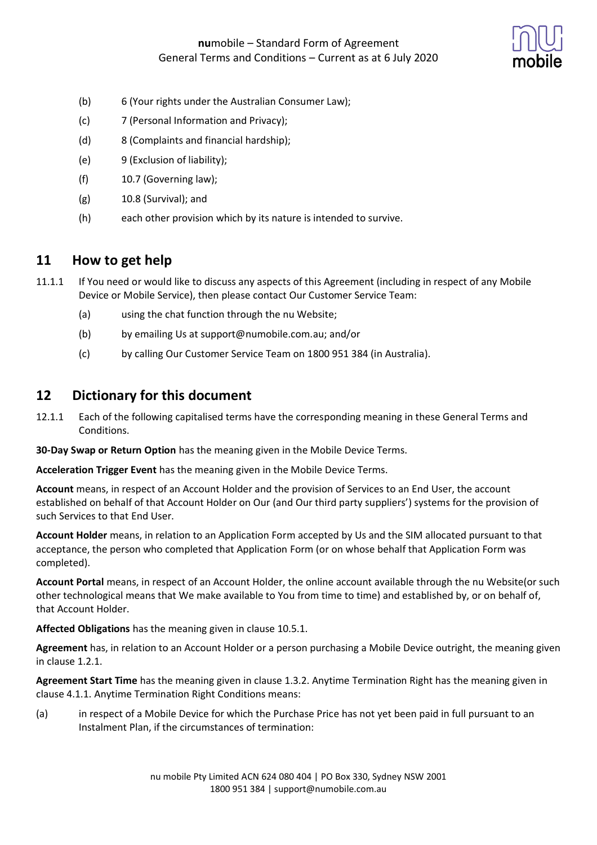

- (b) 6 (Your rights under the Australian Consumer Law);
- (c) 7 (Personal Information and Privacy);
- (d) 8 (Complaints and financial hardship);
- (e) 9 (Exclusion of liability);
- (f) 10.7 (Governing law);
- $(g)$  10.8 (Survival); and
- (h) each other provision which by its nature is intended to survive.

## **11 How to get help**

- 11.1.1 If You need or would like to discuss any aspects of this Agreement (including in respect of any Mobile Device or Mobile Service), then please contact Our Customer Service Team:
	- (a) using the chat function through the nu Website;
	- (b) by emailing Us at support@numobile.com.au; and/or
	- (c) by calling Our Customer Service Team on 1800 951 384 (in Australia).

## **12 Dictionary for this document**

12.1.1 Each of the following capitalised terms have the corresponding meaning in these General Terms and Conditions.

**30-Day Swap or Return Option** has the meaning given in the Mobile Device Terms.

**Acceleration Trigger Event** has the meaning given in the Mobile Device Terms.

**Account** means, in respect of an Account Holder and the provision of Services to an End User, the account established on behalf of that Account Holder on Our (and Our third party suppliers') systems for the provision of such Services to that End User.

**Account Holder** means, in relation to an Application Form accepted by Us and the SIM allocated pursuant to that acceptance, the person who completed that Application Form (or on whose behalf that Application Form was completed).

**Account Portal** means, in respect of an Account Holder, the online account available through the nu Website(or such other technological means that We make available to You from time to time) and established by, or on behalf of, that Account Holder.

**Affected Obligations** has the meaning given in clause 10.5.1.

**Agreement** has, in relation to an Account Holder or a person purchasing a Mobile Device outright, the meaning given in clause 1.2.1.

**Agreement Start Time** has the meaning given in clause 1.3.2. Anytime Termination Right has the meaning given in clause 4.1.1. Anytime Termination Right Conditions means:

(a) in respect of a Mobile Device for which the Purchase Price has not yet been paid in full pursuant to an Instalment Plan, if the circumstances of termination: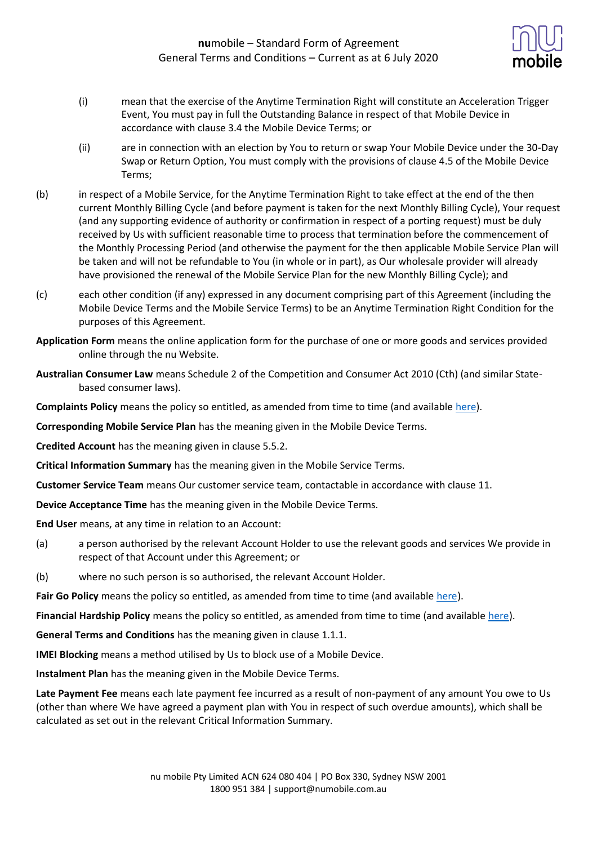

- (i) mean that the exercise of the Anytime Termination Right will constitute an Acceleration Trigger Event, You must pay in full the Outstanding Balance in respect of that Mobile Device in accordance with clause 3.4 the Mobile Device Terms; or
- (ii) are in connection with an election by You to return or swap Your Mobile Device under the 30-Day Swap or Return Option, You must comply with the provisions of clause 4.5 of the Mobile Device Terms;
- (b) in respect of a Mobile Service, for the Anytime Termination Right to take effect at the end of the then current Monthly Billing Cycle (and before payment is taken for the next Monthly Billing Cycle), Your request (and any supporting evidence of authority or confirmation in respect of a porting request) must be duly received by Us with sufficient reasonable time to process that termination before the commencement of the Monthly Processing Period (and otherwise the payment for the then applicable Mobile Service Plan will be taken and will not be refundable to You (in whole or in part), as Our wholesale provider will already have provisioned the renewal of the Mobile Service Plan for the new Monthly Billing Cycle); and
- (c) each other condition (if any) expressed in any document comprising part of this Agreement (including the Mobile Device Terms and the Mobile Service Terms) to be an Anytime Termination Right Condition for the purposes of this Agreement.
- **Application Form** means the online application form for the purchase of one or more goods and services provided online through the nu Website.
- **Australian Consumer Law** means Schedule 2 of the Competition and Consumer Act 2010 (Cth) (and similar Statebased consumer laws).

**Complaints Policy** means the policy so entitled, as amended from time to time (and available [here\)](https://www.numobile.com.au/legal-stuff).

**Corresponding Mobile Service Plan** has the meaning given in the Mobile Device Terms.

**Credited Account** has the meaning given in clause 5.5.2.

**Critical Information Summary** has the meaning given in the Mobile Service Terms.

**Customer Service Team** means Our customer service team, contactable in accordance with clause 11.

**Device Acceptance Time** has the meaning given in the Mobile Device Terms.

**End User** means, at any time in relation to an Account:

- (a) a person authorised by the relevant Account Holder to use the relevant goods and services We provide in respect of that Account under this Agreement; or
- (b) where no such person is so authorised, the relevant Account Holder.

Fair Go Policy means the policy so entitled, as amended from time to time (and available [here\)](https://www.numobile.com.au/legal-stuff).

**Financial Hardship Policy** means the policy so entitled, as amended from time to time (and available [here\)](https://www.numobile.com.au/legal-stuff).

**General Terms and Conditions** has the meaning given in clause 1.1.1.

**IMEI Blocking** means a method utilised by Us to block use of a Mobile Device.

**Instalment Plan** has the meaning given in the Mobile Device Terms.

**Late Payment Fee** means each late payment fee incurred as a result of non-payment of any amount You owe to Us (other than where We have agreed a payment plan with You in respect of such overdue amounts), which shall be calculated as set out in the relevant Critical Information Summary.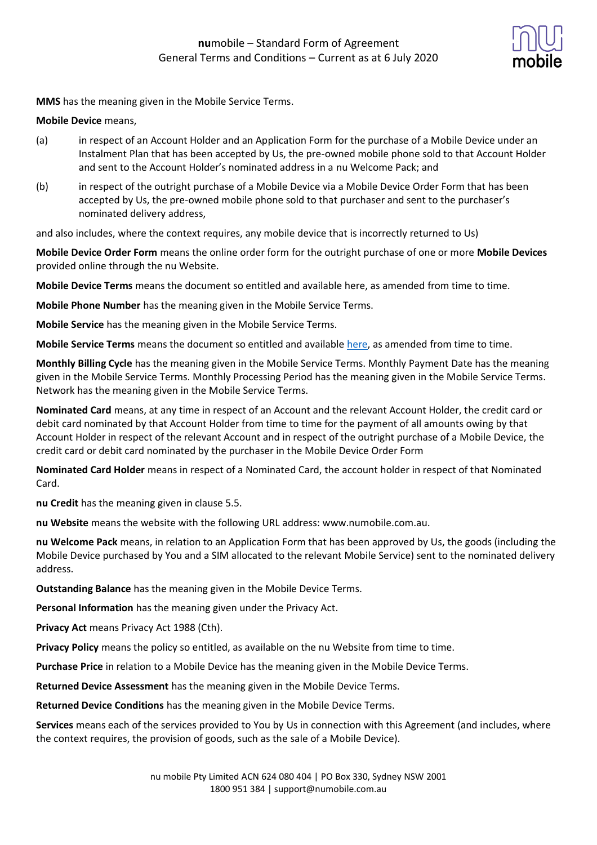

**MMS** has the meaning given in the Mobile Service Terms.

### **Mobile Device** means,

- (a) in respect of an Account Holder and an Application Form for the purchase of a Mobile Device under an Instalment Plan that has been accepted by Us, the pre-owned mobile phone sold to that Account Holder and sent to the Account Holder's nominated address in a nu Welcome Pack; and
- (b) in respect of the outright purchase of a Mobile Device via a Mobile Device Order Form that has been accepted by Us, the pre-owned mobile phone sold to that purchaser and sent to the purchaser's nominated delivery address,

and also includes, where the context requires, any mobile device that is incorrectly returned to Us)

**Mobile Device Order Form** means the online order form for the outright purchase of one or more **Mobile Devices** provided online through the nu Website.

**Mobile Device Terms** means the document so entitled and available here, as amended from time to time.

**Mobile Phone Number** has the meaning given in the Mobile Service Terms.

**Mobile Service** has the meaning given in the Mobile Service Terms.

**Mobile Service Terms** means the document so entitled and available [here,](https://www.numobile.com.au/legal-stuff) as amended from time to time.

**Monthly Billing Cycle** has the meaning given in the Mobile Service Terms. Monthly Payment Date has the meaning given in the Mobile Service Terms. Monthly Processing Period has the meaning given in the Mobile Service Terms. Network has the meaning given in the Mobile Service Terms.

**Nominated Card** means, at any time in respect of an Account and the relevant Account Holder, the credit card or debit card nominated by that Account Holder from time to time for the payment of all amounts owing by that Account Holder in respect of the relevant Account and in respect of the outright purchase of a Mobile Device, the credit card or debit card nominated by the purchaser in the Mobile Device Order Form

**Nominated Card Holder** means in respect of a Nominated Card, the account holder in respect of that Nominated Card.

**nu Credit** has the meaning given in clause 5.5.

**nu Website** means the website with the following URL address: www.numobile.com.au.

**nu Welcome Pack** means, in relation to an Application Form that has been approved by Us, the goods (including the Mobile Device purchased by You and a SIM allocated to the relevant Mobile Service) sent to the nominated delivery address.

**Outstanding Balance** has the meaning given in the Mobile Device Terms.

**Personal Information** has the meaning given under the Privacy Act.

**Privacy Act** means Privacy Act 1988 (Cth).

**Privacy Policy** means the policy so entitled, as available on the nu Website from time to time.

**Purchase Price** in relation to a Mobile Device has the meaning given in the Mobile Device Terms.

**Returned Device Assessment** has the meaning given in the Mobile Device Terms.

**Returned Device Conditions** has the meaning given in the Mobile Device Terms.

**Services** means each of the services provided to You by Us in connection with this Agreement (and includes, where the context requires, the provision of goods, such as the sale of a Mobile Device).